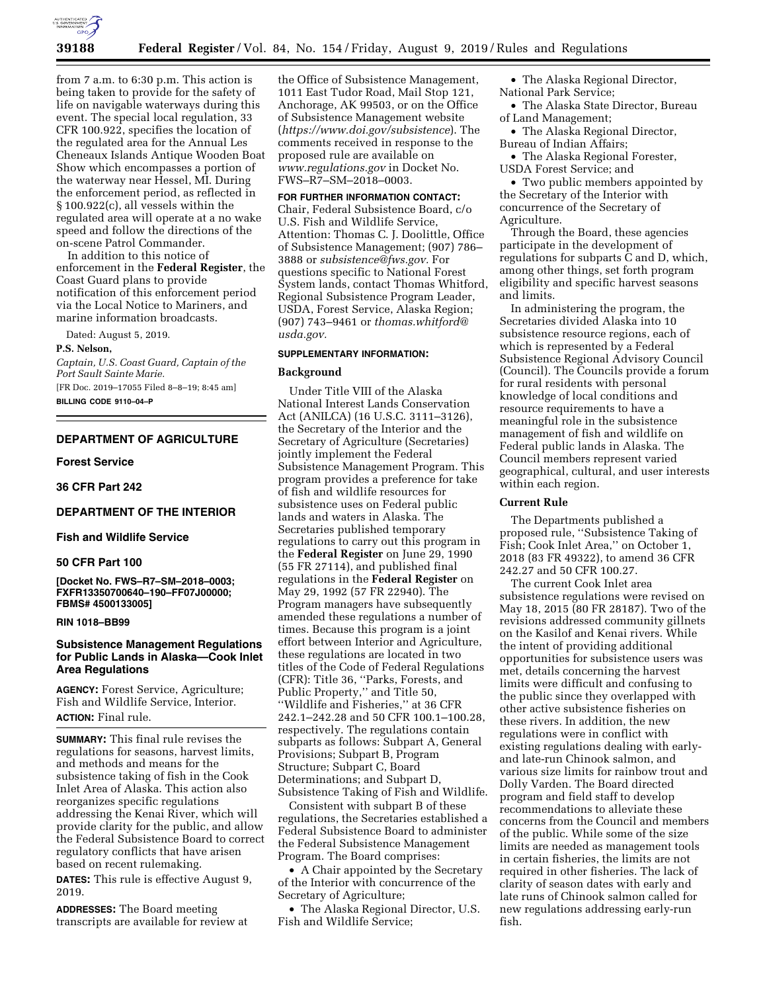

from 7 a.m. to 6:30 p.m. This action is being taken to provide for the safety of life on navigable waterways during this event. The special local regulation, 33 CFR 100.922, specifies the location of the regulated area for the Annual Les Cheneaux Islands Antique Wooden Boat Show which encompasses a portion of the waterway near Hessel, MI. During the enforcement period, as reflected in § 100.922(c), all vessels within the regulated area will operate at a no wake speed and follow the directions of the on-scene Patrol Commander.

In addition to this notice of enforcement in the **Federal Register**, the Coast Guard plans to provide notification of this enforcement period via the Local Notice to Mariners, and marine information broadcasts.

Dated: August 5, 2019.

#### **P.S. Nelson,**

*Captain, U.S. Coast Guard, Captain of the Port Sault Sainte Marie.*  [FR Doc. 2019–17055 Filed 8–8–19; 8:45 am]

**BILLING CODE 9110–04–P** 

# **DEPARTMENT OF AGRICULTURE**

#### **Forest Service**

**36 CFR Part 242** 

# **DEPARTMENT OF THE INTERIOR**

#### **Fish and Wildlife Service**

#### **50 CFR Part 100**

**[Docket No. FWS–R7–SM–2018–0003; FXFR13350700640–190–FF07J00000; FBMS# 4500133005]** 

#### **RIN 1018–BB99**

# **Subsistence Management Regulations for Public Lands in Alaska—Cook Inlet Area Regulations**

**AGENCY:** Forest Service, Agriculture; Fish and Wildlife Service, Interior. **ACTION:** Final rule.

**SUMMARY:** This final rule revises the regulations for seasons, harvest limits, and methods and means for the subsistence taking of fish in the Cook Inlet Area of Alaska. This action also reorganizes specific regulations addressing the Kenai River, which will provide clarity for the public, and allow the Federal Subsistence Board to correct regulatory conflicts that have arisen based on recent rulemaking.

**DATES:** This rule is effective August 9, 2019.

**ADDRESSES:** The Board meeting transcripts are available for review at

the Office of Subsistence Management, 1011 East Tudor Road, Mail Stop 121, Anchorage, AK 99503, or on the Office of Subsistence Management website (*<https://www.doi.gov/subsistence>*). The comments received in response to the proposed rule are available on *[www.regulations.gov](http://www.regulations.gov)* in Docket No. FWS–R7–SM–2018–0003.

#### **FOR FURTHER INFORMATION CONTACT:**

Chair, Federal Subsistence Board, c/o U.S. Fish and Wildlife Service, Attention: Thomas C. J. Doolittle, Office of Subsistence Management; (907) 786– 3888 or *[subsistence@fws.gov.](mailto:subsistence@fws.gov)* For questions specific to National Forest System lands, contact Thomas Whitford, Regional Subsistence Program Leader, USDA, Forest Service, Alaska Region; (907) 743–9461 or *[thomas.whitford@](mailto:thomas.whitford@usda.gov) [usda.gov.](mailto:thomas.whitford@usda.gov)* 

#### **SUPPLEMENTARY INFORMATION:**

#### **Background**

Under Title VIII of the Alaska National Interest Lands Conservation Act (ANILCA) (16 U.S.C. 3111–3126), the Secretary of the Interior and the Secretary of Agriculture (Secretaries) jointly implement the Federal Subsistence Management Program. This program provides a preference for take of fish and wildlife resources for subsistence uses on Federal public lands and waters in Alaska. The Secretaries published temporary regulations to carry out this program in the **Federal Register** on June 29, 1990 (55 FR 27114), and published final regulations in the **Federal Register** on May 29, 1992 (57 FR 22940). The Program managers have subsequently amended these regulations a number of times. Because this program is a joint effort between Interior and Agriculture, these regulations are located in two titles of the Code of Federal Regulations (CFR): Title 36, ''Parks, Forests, and Public Property,'' and Title 50, ''Wildlife and Fisheries,'' at 36 CFR 242.1–242.28 and 50 CFR 100.1–100.28, respectively. The regulations contain subparts as follows: Subpart A, General Provisions; Subpart B, Program Structure; Subpart C, Board Determinations; and Subpart D, Subsistence Taking of Fish and Wildlife.

Consistent with subpart B of these regulations, the Secretaries established a Federal Subsistence Board to administer the Federal Subsistence Management Program. The Board comprises:

• A Chair appointed by the Secretary of the Interior with concurrence of the Secretary of Agriculture;

• The Alaska Regional Director, U.S. Fish and Wildlife Service;

• The Alaska Regional Director, National Park Service;

• The Alaska State Director, Bureau of Land Management;

• The Alaska Regional Director, Bureau of Indian Affairs;

• The Alaska Regional Forester, USDA Forest Service; and

• Two public members appointed by the Secretary of the Interior with concurrence of the Secretary of Agriculture.

Through the Board, these agencies participate in the development of regulations for subparts C and D, which, among other things, set forth program eligibility and specific harvest seasons and limits.

In administering the program, the Secretaries divided Alaska into 10 subsistence resource regions, each of which is represented by a Federal Subsistence Regional Advisory Council (Council). The Councils provide a forum for rural residents with personal knowledge of local conditions and resource requirements to have a meaningful role in the subsistence management of fish and wildlife on Federal public lands in Alaska. The Council members represent varied geographical, cultural, and user interests within each region.

#### **Current Rule**

The Departments published a proposed rule, ''Subsistence Taking of Fish; Cook Inlet Area,'' on October 1, 2018 (83 FR 49322), to amend 36 CFR 242.27 and 50 CFR 100.27.

The current Cook Inlet area subsistence regulations were revised on May 18, 2015 (80 FR 28187). Two of the revisions addressed community gillnets on the Kasilof and Kenai rivers. While the intent of providing additional opportunities for subsistence users was met, details concerning the harvest limits were difficult and confusing to the public since they overlapped with other active subsistence fisheries on these rivers. In addition, the new regulations were in conflict with existing regulations dealing with earlyand late-run Chinook salmon, and various size limits for rainbow trout and Dolly Varden. The Board directed program and field staff to develop recommendations to alleviate these concerns from the Council and members of the public. While some of the size limits are needed as management tools in certain fisheries, the limits are not required in other fisheries. The lack of clarity of season dates with early and late runs of Chinook salmon called for new regulations addressing early-run fish.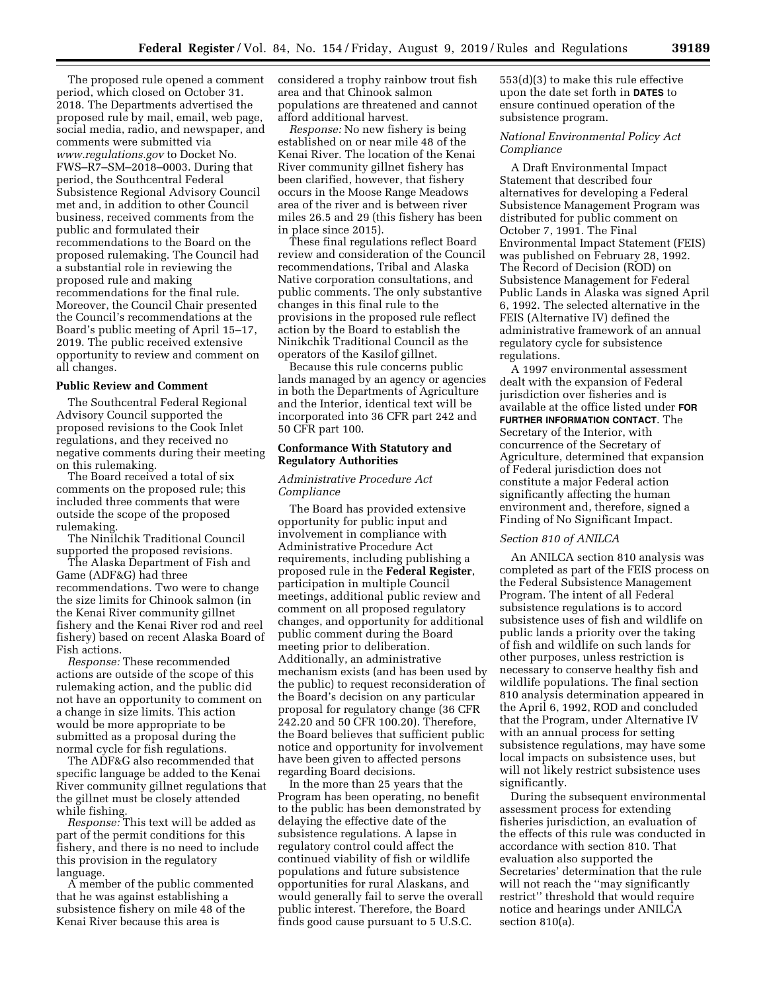The proposed rule opened a comment period, which closed on October 31. 2018. The Departments advertised the proposed rule by mail, email, web page, social media, radio, and newspaper, and comments were submitted via *[www.regulations.gov](http://www.regulations.gov)* to Docket No. FWS–R7–SM–2018–0003. During that period, the Southcentral Federal Subsistence Regional Advisory Council met and, in addition to other Council business, received comments from the public and formulated their recommendations to the Board on the proposed rulemaking. The Council had a substantial role in reviewing the proposed rule and making recommendations for the final rule. Moreover, the Council Chair presented the Council's recommendations at the Board's public meeting of April 15–17, 2019. The public received extensive opportunity to review and comment on all changes.

#### **Public Review and Comment**

The Southcentral Federal Regional Advisory Council supported the proposed revisions to the Cook Inlet regulations, and they received no negative comments during their meeting on this rulemaking.

The Board received a total of six comments on the proposed rule; this included three comments that were outside the scope of the proposed rulemaking.

The Ninilchik Traditional Council supported the proposed revisions.

The Alaska Department of Fish and Game (ADF&G) had three recommendations. Two were to change the size limits for Chinook salmon (in the Kenai River community gillnet fishery and the Kenai River rod and reel fishery) based on recent Alaska Board of Fish actions.

*Response:* These recommended actions are outside of the scope of this rulemaking action, and the public did not have an opportunity to comment on a change in size limits. This action would be more appropriate to be submitted as a proposal during the normal cycle for fish regulations.

The ADF&G also recommended that specific language be added to the Kenai River community gillnet regulations that the gillnet must be closely attended while fishing.

*Response:* This text will be added as part of the permit conditions for this fishery, and there is no need to include this provision in the regulatory language.

A member of the public commented that he was against establishing a subsistence fishery on mile 48 of the Kenai River because this area is

considered a trophy rainbow trout fish area and that Chinook salmon populations are threatened and cannot afford additional harvest.

*Response:* No new fishery is being established on or near mile 48 of the Kenai River. The location of the Kenai River community gillnet fishery has been clarified, however, that fishery occurs in the Moose Range Meadows area of the river and is between river miles 26.5 and 29 (this fishery has been in place since 2015).

These final regulations reflect Board review and consideration of the Council recommendations, Tribal and Alaska Native corporation consultations, and public comments. The only substantive changes in this final rule to the provisions in the proposed rule reflect action by the Board to establish the Ninikchik Traditional Council as the operators of the Kasilof gillnet.

Because this rule concerns public lands managed by an agency or agencies in both the Departments of Agriculture and the Interior, identical text will be incorporated into 36 CFR part 242 and 50 CFR part 100.

#### **Conformance With Statutory and Regulatory Authorities**

### *Administrative Procedure Act Compliance*

The Board has provided extensive opportunity for public input and involvement in compliance with Administrative Procedure Act requirements, including publishing a proposed rule in the **Federal Register**, participation in multiple Council meetings, additional public review and comment on all proposed regulatory changes, and opportunity for additional public comment during the Board meeting prior to deliberation. Additionally, an administrative mechanism exists (and has been used by the public) to request reconsideration of the Board's decision on any particular proposal for regulatory change (36 CFR 242.20 and 50 CFR 100.20). Therefore, the Board believes that sufficient public notice and opportunity for involvement have been given to affected persons regarding Board decisions.

In the more than 25 years that the Program has been operating, no benefit to the public has been demonstrated by delaying the effective date of the subsistence regulations. A lapse in regulatory control could affect the continued viability of fish or wildlife populations and future subsistence opportunities for rural Alaskans, and would generally fail to serve the overall public interest. Therefore, the Board finds good cause pursuant to 5 U.S.C.

553(d)(3) to make this rule effective upon the date set forth in **DATES** to ensure continued operation of the subsistence program.

# *National Environmental Policy Act Compliance*

A Draft Environmental Impact Statement that described four alternatives for developing a Federal Subsistence Management Program was distributed for public comment on October 7, 1991. The Final Environmental Impact Statement (FEIS) was published on February 28, 1992. The Record of Decision (ROD) on Subsistence Management for Federal Public Lands in Alaska was signed April 6, 1992. The selected alternative in the FEIS (Alternative IV) defined the administrative framework of an annual regulatory cycle for subsistence regulations.

A 1997 environmental assessment dealt with the expansion of Federal jurisdiction over fisheries and is available at the office listed under **FOR FURTHER INFORMATION CONTACT**. The Secretary of the Interior, with concurrence of the Secretary of Agriculture, determined that expansion of Federal jurisdiction does not constitute a major Federal action significantly affecting the human environment and, therefore, signed a Finding of No Significant Impact.

#### *Section 810 of ANILCA*

An ANILCA section 810 analysis was completed as part of the FEIS process on the Federal Subsistence Management Program. The intent of all Federal subsistence regulations is to accord subsistence uses of fish and wildlife on public lands a priority over the taking of fish and wildlife on such lands for other purposes, unless restriction is necessary to conserve healthy fish and wildlife populations. The final section 810 analysis determination appeared in the April 6, 1992, ROD and concluded that the Program, under Alternative IV with an annual process for setting subsistence regulations, may have some local impacts on subsistence uses, but will not likely restrict subsistence uses significantly.

During the subsequent environmental assessment process for extending fisheries jurisdiction, an evaluation of the effects of this rule was conducted in accordance with section 810. That evaluation also supported the Secretaries' determination that the rule will not reach the ''may significantly restrict'' threshold that would require notice and hearings under ANILCA section 810(a).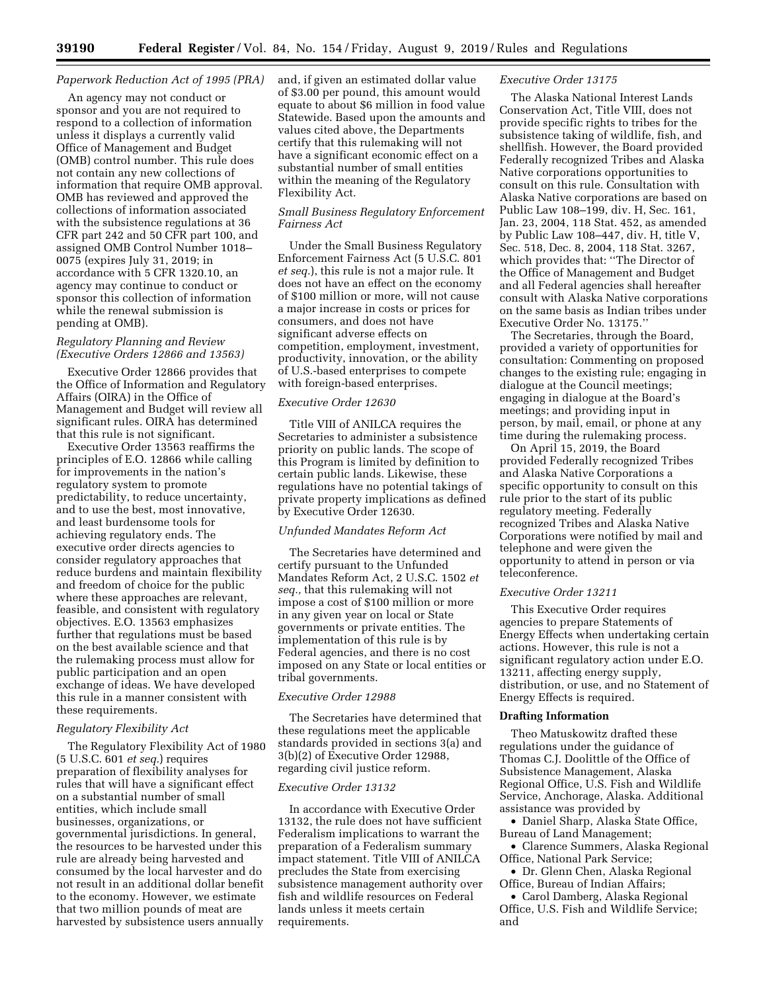#### *Paperwork Reduction Act of 1995 (PRA)*

An agency may not conduct or sponsor and you are not required to respond to a collection of information unless it displays a currently valid Office of Management and Budget (OMB) control number. This rule does not contain any new collections of information that require OMB approval. OMB has reviewed and approved the collections of information associated with the subsistence regulations at 36 CFR part 242 and 50 CFR part 100, and assigned OMB Control Number 1018– 0075 (expires July 31, 2019; in accordance with 5 CFR 1320.10, an agency may continue to conduct or sponsor this collection of information while the renewal submission is pending at OMB).

#### *Regulatory Planning and Review (Executive Orders 12866 and 13563)*

Executive Order 12866 provides that the Office of Information and Regulatory Affairs (OIRA) in the Office of Management and Budget will review all significant rules. OIRA has determined that this rule is not significant.

Executive Order 13563 reaffirms the principles of E.O. 12866 while calling for improvements in the nation's regulatory system to promote predictability, to reduce uncertainty, and to use the best, most innovative, and least burdensome tools for achieving regulatory ends. The executive order directs agencies to consider regulatory approaches that reduce burdens and maintain flexibility and freedom of choice for the public where these approaches are relevant, feasible, and consistent with regulatory objectives. E.O. 13563 emphasizes further that regulations must be based on the best available science and that the rulemaking process must allow for public participation and an open exchange of ideas. We have developed this rule in a manner consistent with these requirements.

# *Regulatory Flexibility Act*

The Regulatory Flexibility Act of 1980 (5 U.S.C. 601 *et seq.*) requires preparation of flexibility analyses for rules that will have a significant effect on a substantial number of small entities, which include small businesses, organizations, or governmental jurisdictions. In general, the resources to be harvested under this rule are already being harvested and consumed by the local harvester and do not result in an additional dollar benefit to the economy. However, we estimate that two million pounds of meat are harvested by subsistence users annually

and, if given an estimated dollar value of \$3.00 per pound, this amount would equate to about \$6 million in food value Statewide. Based upon the amounts and values cited above, the Departments certify that this rulemaking will not have a significant economic effect on a substantial number of small entities within the meaning of the Regulatory Flexibility Act.

# *Small Business Regulatory Enforcement Fairness Act*

Under the Small Business Regulatory Enforcement Fairness Act (5 U.S.C. 801 *et seq.*), this rule is not a major rule. It does not have an effect on the economy of \$100 million or more, will not cause a major increase in costs or prices for consumers, and does not have significant adverse effects on competition, employment, investment, productivity, innovation, or the ability of U.S.-based enterprises to compete with foreign-based enterprises.

#### *Executive Order 12630*

Title VIII of ANILCA requires the Secretaries to administer a subsistence priority on public lands. The scope of this Program is limited by definition to certain public lands. Likewise, these regulations have no potential takings of private property implications as defined by Executive Order 12630.

#### *Unfunded Mandates Reform Act*

The Secretaries have determined and certify pursuant to the Unfunded Mandates Reform Act, 2 U.S.C. 1502 *et seq.,* that this rulemaking will not impose a cost of \$100 million or more in any given year on local or State governments or private entities. The implementation of this rule is by Federal agencies, and there is no cost imposed on any State or local entities or tribal governments.

#### *Executive Order 12988*

The Secretaries have determined that these regulations meet the applicable standards provided in sections 3(a) and 3(b)(2) of Executive Order 12988, regarding civil justice reform.

## *Executive Order 13132*

In accordance with Executive Order 13132, the rule does not have sufficient Federalism implications to warrant the preparation of a Federalism summary impact statement. Title VIII of ANILCA precludes the State from exercising subsistence management authority over fish and wildlife resources on Federal lands unless it meets certain requirements.

#### *Executive Order 13175*

The Alaska National Interest Lands Conservation Act, Title VIII, does not provide specific rights to tribes for the subsistence taking of wildlife, fish, and shellfish. However, the Board provided Federally recognized Tribes and Alaska Native corporations opportunities to consult on this rule. Consultation with Alaska Native corporations are based on Public Law 108–199, div. H, Sec. 161, Jan. 23, 2004, 118 Stat. 452, as amended by Public Law 108–447, div. H, title V, Sec. 518, Dec. 8, 2004, 118 Stat. 3267, which provides that: ''The Director of the Office of Management and Budget and all Federal agencies shall hereafter consult with Alaska Native corporations on the same basis as Indian tribes under Executive Order No. 13175.''

The Secretaries, through the Board, provided a variety of opportunities for consultation: Commenting on proposed changes to the existing rule; engaging in dialogue at the Council meetings; engaging in dialogue at the Board's meetings; and providing input in person, by mail, email, or phone at any time during the rulemaking process.

On April 15, 2019, the Board provided Federally recognized Tribes and Alaska Native Corporations a specific opportunity to consult on this rule prior to the start of its public regulatory meeting. Federally recognized Tribes and Alaska Native Corporations were notified by mail and telephone and were given the opportunity to attend in person or via teleconference.

# *Executive Order 13211*

This Executive Order requires agencies to prepare Statements of Energy Effects when undertaking certain actions. However, this rule is not a significant regulatory action under E.O. 13211, affecting energy supply, distribution, or use, and no Statement of Energy Effects is required.

#### **Drafting Information**

Theo Matuskowitz drafted these regulations under the guidance of Thomas C.J. Doolittle of the Office of Subsistence Management, Alaska Regional Office, U.S. Fish and Wildlife Service, Anchorage, Alaska. Additional assistance was provided by

• Daniel Sharp, Alaska State Office, Bureau of Land Management;

• Clarence Summers, Alaska Regional Office, National Park Service;

• Dr. Glenn Chen, Alaska Regional Office, Bureau of Indian Affairs;

• Carol Damberg, Alaska Regional Office, U.S. Fish and Wildlife Service; and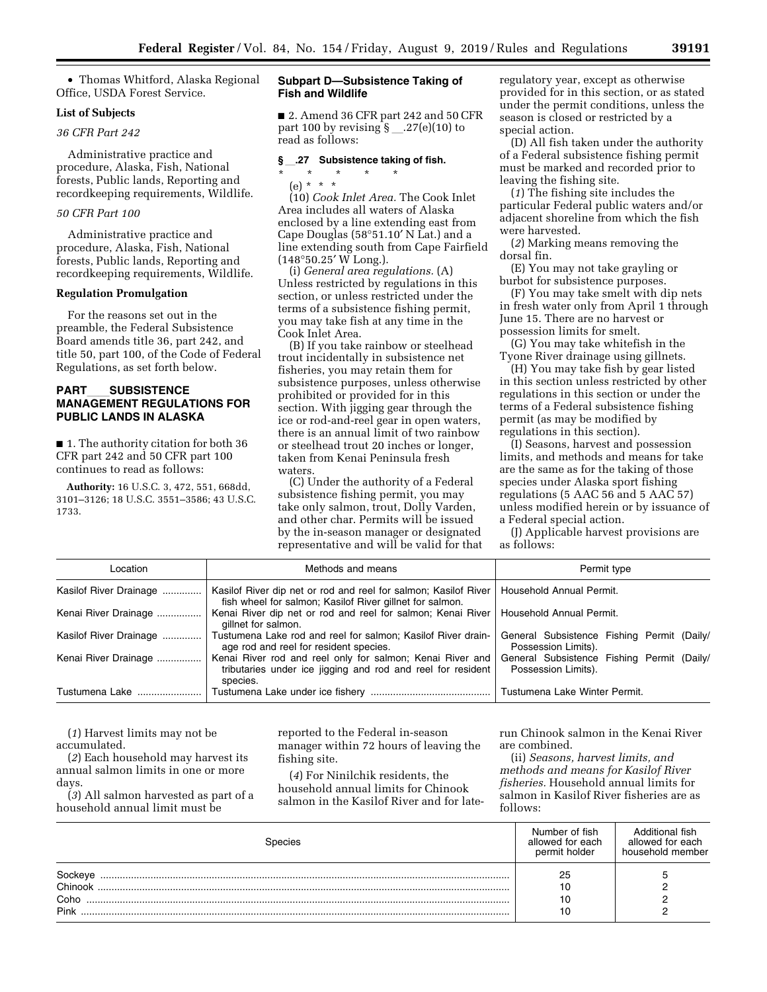• Thomas Whitford, Alaska Regional Office, USDA Forest Service.

#### **List of Subjects**

# *36 CFR Part 242*

Administrative practice and procedure, Alaska, Fish, National forests, Public lands, Reporting and recordkeeping requirements, Wildlife.

# *50 CFR Part 100*

Administrative practice and procedure, Alaska, Fish, National forests, Public lands, Reporting and recordkeeping requirements, Wildlife.

# **Regulation Promulgation**

For the reasons set out in the preamble, the Federal Subsistence Board amends title 36, part 242, and title 50, part 100, of the Code of Federal Regulations, as set forth below.

# **PART**ll**SUBSISTENCE MANAGEMENT REGULATIONS FOR PUBLIC LANDS IN ALASKA**

■ 1. The authority citation for both 36 CFR part 242 and 50 CFR part 100 continues to read as follows:

**Authority:** 16 U.S.C. 3, 472, 551, 668dd, 3101–3126; 18 U.S.C. 3551–3586; 43 U.S.C. 1733.

#### **Subpart D—Subsistence Taking of Fish and Wildlife**

■ 2. Amend 36 CFR part 242 and 50 CFR part 100 by revising  $\frac{1}{2}$ . 27(e)(10) to read as follows:

# §<sub>\_\_</sub>.27 Subsistence taking of fish.

\* \* \* \* \* (e) \* \* \*

(10) *Cook Inlet Area.* The Cook Inlet Area includes all waters of Alaska enclosed by a line extending east from Cape Douglas (58°51.10′ N Lat.) and a line extending south from Cape Fairfield (148°50.25′ W Long.).

(i) *General area regulations.* (A) Unless restricted by regulations in this section, or unless restricted under the terms of a subsistence fishing permit, you may take fish at any time in the Cook Inlet Area.

(B) If you take rainbow or steelhead trout incidentally in subsistence net fisheries, you may retain them for subsistence purposes, unless otherwise prohibited or provided for in this section. With jigging gear through the ice or rod-and-reel gear in open waters, there is an annual limit of two rainbow or steelhead trout 20 inches or longer, taken from Kenai Peninsula fresh waters.

(C) Under the authority of a Federal subsistence fishing permit, you may take only salmon, trout, Dolly Varden, and other char. Permits will be issued by the in-season manager or designated representative and will be valid for that regulatory year, except as otherwise provided for in this section, or as stated under the permit conditions, unless the season is closed or restricted by a special action.

(D) All fish taken under the authority of a Federal subsistence fishing permit must be marked and recorded prior to leaving the fishing site.

(*1*) The fishing site includes the particular Federal public waters and/or adjacent shoreline from which the fish were harvested.

(*2*) Marking means removing the dorsal fin.

(E) You may not take grayling or burbot for subsistence purposes.

(F) You may take smelt with dip nets in fresh water only from April 1 through June 15. There are no harvest or possession limits for smelt.

(G) You may take whitefish in the Tyone River drainage using gillnets.

(H) You may take fish by gear listed in this section unless restricted by other regulations in this section or under the terms of a Federal subsistence fishing permit (as may be modified by regulations in this section).

(I) Seasons, harvest and possession limits, and methods and means for take are the same as for the taking of those species under Alaska sport fishing regulations (5 AAC 56 and 5 AAC 57) unless modified herein or by issuance of a Federal special action.

(J) Applicable harvest provisions are as follows:

| Location               | Methods and means<br>Permit type                                                                                                     |                                                                   |  |
|------------------------|--------------------------------------------------------------------------------------------------------------------------------------|-------------------------------------------------------------------|--|
| Kasilof River Drainage | Kasilof River dip net or rod and reel for salmon; Kasilof River<br>fish wheel for salmon; Kasilof River gillnet for salmon.          | Household Annual Permit.                                          |  |
| Kenai River Drainage   | Kenai River dip net or rod and reel for salmon; Kenai River<br>gillnet for salmon.                                                   | Household Annual Permit.                                          |  |
| Kasilof River Drainage | Tustumena Lake rod and reel for salmon; Kasilof River drain-<br>age rod and reel for resident species.                               | General Subsistence Fishing Permit (Daily/<br>Possession Limits). |  |
| Kenai River Drainage   | Kenai River rod and reel only for salmon; Kenai River and<br>tributaries under ice jigging and rod and reel for resident<br>species. | General Subsistence Fishing Permit (Daily/<br>Possession Limits). |  |
| Tustumena Lake         |                                                                                                                                      | Tustumena Lake Winter Permit.                                     |  |

(*1*) Harvest limits may not be accumulated.

(*2*) Each household may harvest its annual salmon limits in one or more days.

(*3*) All salmon harvested as part of a household annual limit must be

reported to the Federal in-season manager within 72 hours of leaving the fishing site.

(*4*) For Ninilchik residents, the household annual limits for Chinook salmon in the Kasilof River and for laterun Chinook salmon in the Kenai River are combined.

(ii) *Seasons, harvest limits, and methods and means for Kasilof River fisheries.* Household annual limits for salmon in Kasilof River fisheries are as follows:

| pecies                  | Number of fish<br>allowed for each<br>permit holder | Additional fish<br>allowed for each<br>household member |
|-------------------------|-----------------------------------------------------|---------------------------------------------------------|
| Chinook<br>Coho<br>Pink | 25<br>10<br>10<br>10                                |                                                         |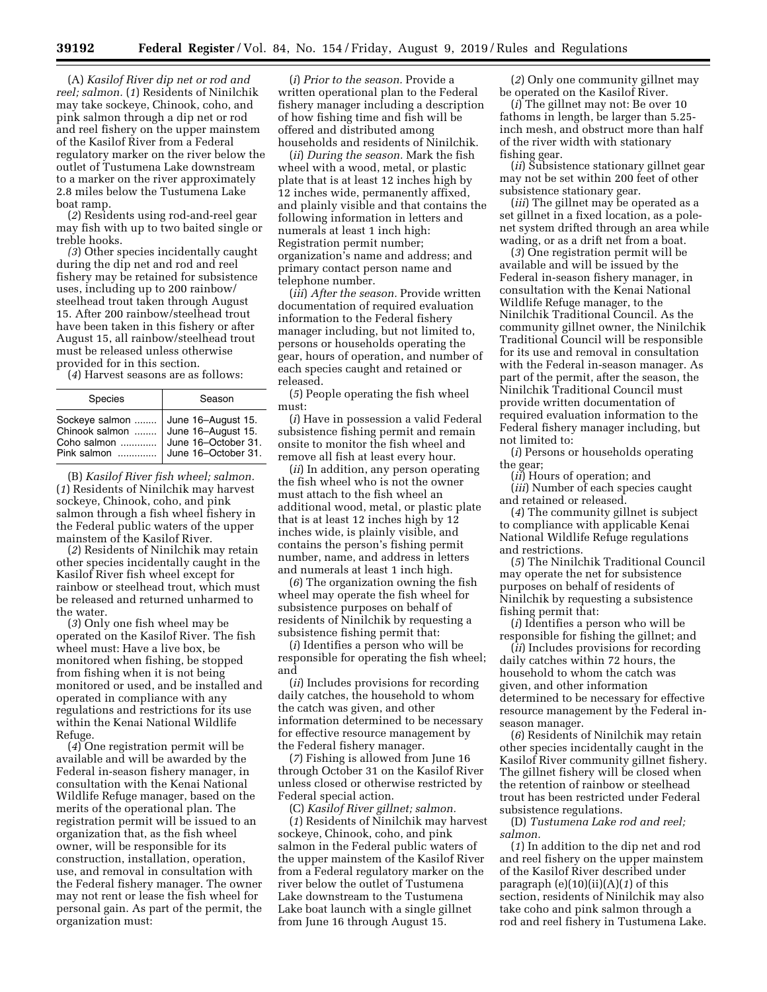(A) *Kasilof River dip net or rod and reel; salmon.* (*1*) Residents of Ninilchik may take sockeye, Chinook, coho, and pink salmon through a dip net or rod and reel fishery on the upper mainstem of the Kasilof River from a Federal regulatory marker on the river below the outlet of Tustumena Lake downstream to a marker on the river approximately 2.8 miles below the Tustumena Lake boat ramp.

(*2*) Residents using rod-and-reel gear may fish with up to two baited single or treble hooks.

*(3*) Other species incidentally caught during the dip net and rod and reel fishery may be retained for subsistence uses, including up to 200 rainbow/ steelhead trout taken through August 15. After 200 rainbow/steelhead trout have been taken in this fishery or after August 15, all rainbow/steelhead trout must be released unless otherwise provided for in this section.

(*4*) Harvest seasons are as follows:

| Species                                                        | Season                                                                                 |
|----------------------------------------------------------------|----------------------------------------------------------------------------------------|
| Sockeye salmon<br>Chinook salmon<br>Coho salmon<br>Pink salmon | June 16-August 15.<br>June 16-August 15.<br>June 16-October 31.<br>June 16-October 31. |

(B) *Kasilof River fish wheel; salmon.*  (*1*) Residents of Ninilchik may harvest sockeye, Chinook, coho, and pink salmon through a fish wheel fishery in the Federal public waters of the upper mainstem of the Kasilof River.

(*2*) Residents of Ninilchik may retain other species incidentally caught in the Kasilof River fish wheel except for rainbow or steelhead trout, which must be released and returned unharmed to the water.

(*3*) Only one fish wheel may be operated on the Kasilof River. The fish wheel must: Have a live box, be monitored when fishing, be stopped from fishing when it is not being monitored or used, and be installed and operated in compliance with any regulations and restrictions for its use within the Kenai National Wildlife Refuge.

(*4*) One registration permit will be available and will be awarded by the Federal in-season fishery manager, in consultation with the Kenai National Wildlife Refuge manager, based on the merits of the operational plan. The registration permit will be issued to an organization that, as the fish wheel owner, will be responsible for its construction, installation, operation, use, and removal in consultation with the Federal fishery manager. The owner may not rent or lease the fish wheel for personal gain. As part of the permit, the organization must:

(*i*) *Prior to the season.* Provide a written operational plan to the Federal fishery manager including a description of how fishing time and fish will be offered and distributed among households and residents of Ninilchik.

(*ii*) *During the season.* Mark the fish wheel with a wood, metal, or plastic plate that is at least 12 inches high by 12 inches wide, permanently affixed, and plainly visible and that contains the following information in letters and numerals at least 1 inch high: Registration permit number; organization's name and address; and primary contact person name and telephone number.

(*iii*) *After the season.* Provide written documentation of required evaluation information to the Federal fishery manager including, but not limited to, persons or households operating the gear, hours of operation, and number of each species caught and retained or released.

(*5*) People operating the fish wheel must:

(*i*) Have in possession a valid Federal subsistence fishing permit and remain onsite to monitor the fish wheel and remove all fish at least every hour.

(*ii*) In addition, any person operating the fish wheel who is not the owner must attach to the fish wheel an additional wood, metal, or plastic plate that is at least 12 inches high by 12 inches wide, is plainly visible, and contains the person's fishing permit number, name, and address in letters and numerals at least 1 inch high.

(*6*) The organization owning the fish wheel may operate the fish wheel for subsistence purposes on behalf of residents of Ninilchik by requesting a subsistence fishing permit that:

(*i*) Identifies a person who will be responsible for operating the fish wheel; and

(*ii*) Includes provisions for recording daily catches, the household to whom the catch was given, and other information determined to be necessary for effective resource management by the Federal fishery manager.

(*7*) Fishing is allowed from June 16 through October 31 on the Kasilof River unless closed or otherwise restricted by Federal special action.

(C) *Kasilof River gillnet; salmon.*  (*1*) Residents of Ninilchik may harvest sockeye, Chinook, coho, and pink salmon in the Federal public waters of the upper mainstem of the Kasilof River from a Federal regulatory marker on the river below the outlet of Tustumena Lake downstream to the Tustumena Lake boat launch with a single gillnet from June 16 through August 15.

(*2*) Only one community gillnet may be operated on the Kasilof River.

(*i*) The gillnet may not: Be over 10 fathoms in length, be larger than 5.25 inch mesh, and obstruct more than half of the river width with stationary fishing gear.

(*ii*) Subsistence stationary gillnet gear may not be set within 200 feet of other subsistence stationary gear.

(*iii*) The gillnet may be operated as a set gillnet in a fixed location, as a polenet system drifted through an area while wading, or as a drift net from a boat.

(*3*) One registration permit will be available and will be issued by the Federal in-season fishery manager, in consultation with the Kenai National Wildlife Refuge manager, to the Ninilchik Traditional Council. As the community gillnet owner, the Ninilchik Traditional Council will be responsible for its use and removal in consultation with the Federal in-season manager. As part of the permit, after the season, the Ninilchik Traditional Council must provide written documentation of required evaluation information to the Federal fishery manager including, but not limited to:

(*i*) Persons or households operating the gear;

(*ii*) Hours of operation; and

(*iii*) Number of each species caught and retained or released.

(*4*) The community gillnet is subject to compliance with applicable Kenai National Wildlife Refuge regulations and restrictions.

(*5*) The Ninilchik Traditional Council may operate the net for subsistence purposes on behalf of residents of Ninilchik by requesting a subsistence fishing permit that:

(*i*) Identifies a person who will be responsible for fishing the gillnet; and

(*ii*) Includes provisions for recording daily catches within 72 hours, the household to whom the catch was given, and other information determined to be necessary for effective resource management by the Federal inseason manager.

(*6*) Residents of Ninilchik may retain other species incidentally caught in the Kasilof River community gillnet fishery. The gillnet fishery will be closed when the retention of rainbow or steelhead trout has been restricted under Federal subsistence regulations.

(D) *Tustumena Lake rod and reel; salmon.* 

(*1*) In addition to the dip net and rod and reel fishery on the upper mainstem of the Kasilof River described under paragraph (e)(10)(ii)(A)(*1*) of this section, residents of Ninilchik may also take coho and pink salmon through a rod and reel fishery in Tustumena Lake.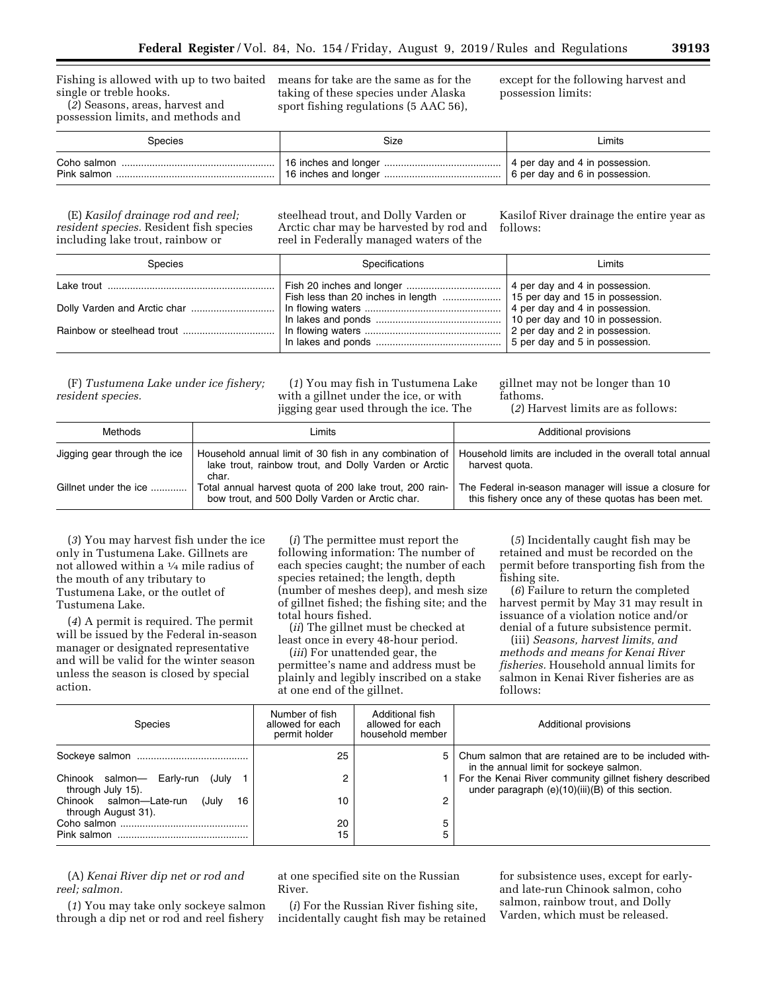Fishing is allowed with up to two baited single or treble hooks. (*2*) Seasons, areas, harvest and

possession limits, and methods and

means for take are the same as for the taking of these species under Alaska sport fishing regulations (5 AAC 56),

except for the following harvest and possession limits:

| Species | Size | Limits                         |
|---------|------|--------------------------------|
|         |      | 4 per day and 4 in possession. |
|         |      | 6 per day and 6 in possession. |

(E) *Kasilof drainage rod and reel; resident species.* Resident fish species including lake trout, rainbow or

steelhead trout, and Dolly Varden or Arctic char may be harvested by rod and reel in Federally managed waters of the

Kasilof River drainage the entire year as follows:

| <b>Species</b> | Specifications                                                                                                                             | Limits                                                           |
|----------------|--------------------------------------------------------------------------------------------------------------------------------------------|------------------------------------------------------------------|
|                |                                                                                                                                            |                                                                  |
|                | In flowing waters $\ldots$ $\ldots$ $\ldots$ $\ldots$ $\ldots$ $\ldots$ $\ldots$ $\ldots$ $\ldots$ $\ldots$ 4 per day and 4 in possession. |                                                                  |
|                |                                                                                                                                            | 2 per day and 2 in possession.<br>5 per day and 5 in possession. |

(F) *Tustumena Lake under ice fishery; resident species.* 

(*1*) You may fish in Tustumena Lake with a gillnet under the ice, or with jigging gear used through the ice. The

gillnet may not be longer than 10 fathoms. (*2*) Harvest limits are as follows:

| Methods                      | Limits                                                                                                                    | Additional provisions                                                                                         |
|------------------------------|---------------------------------------------------------------------------------------------------------------------------|---------------------------------------------------------------------------------------------------------------|
| Jigging gear through the ice | Household annual limit of 30 fish in any combination of<br>lake trout, rainbow trout, and Dolly Varden or Arctic<br>char. | Household limits are included in the overall total annual<br>harvest quota.                                   |
| Gillnet under the ice        | Total annual harvest quota of 200 lake trout, 200 rain-<br>bow trout, and 500 Dolly Varden or Arctic char.                | The Federal in-season manager will issue a closure for<br>this fishery once any of these quotas has been met. |

(*3*) You may harvest fish under the ice only in Tustumena Lake. Gillnets are not allowed within a 1⁄4 mile radius of the mouth of any tributary to Tustumena Lake, or the outlet of Tustumena Lake.

(*4*) A permit is required. The permit will be issued by the Federal in-season manager or designated representative and will be valid for the winter season unless the season is closed by special action.

(*i*) The permittee must report the following information: The number of each species caught; the number of each species retained; the length, depth (number of meshes deep), and mesh size of gillnet fished; the fishing site; and the total hours fished.

(*ii*) The gillnet must be checked at least once in every 48-hour period.

(*iii*) For unattended gear, the permittee's name and address must be plainly and legibly inscribed on a stake at one end of the gillnet.

(*5*) Incidentally caught fish may be retained and must be recorded on the permit before transporting fish from the fishing site.

(*6*) Failure to return the completed harvest permit by May 31 may result in issuance of a violation notice and/or denial of a future subsistence permit.

(iii) *Seasons, harvest limits, and methods and means for Kenai River fisheries.* Household annual limits for salmon in Kenai River fisheries are as follows:

| <b>Species</b>                                                | Number of fish<br>allowed for each<br>permit holder | Additional fish<br>allowed for each<br>household member | Additional provisions                                                                                       |
|---------------------------------------------------------------|-----------------------------------------------------|---------------------------------------------------------|-------------------------------------------------------------------------------------------------------------|
|                                                               | 25                                                  | 5 <sup>1</sup>                                          | Chum salmon that are retained are to be included with-<br>in the annual limit for sockeye salmon.           |
| Chinook salmon- Early-run<br>(July<br>through July 15).       | c                                                   |                                                         | For the Kenai River community gillnet fishery described<br>under paragraph (e)(10)(iii)(B) of this section. |
| Chinook salmon-Late-run<br>(July<br>16<br>through August 31). | 10                                                  | 2                                                       |                                                                                                             |
|                                                               | 20                                                  | 5                                                       |                                                                                                             |
|                                                               | 15                                                  | 5                                                       |                                                                                                             |

(A) *Kenai River dip net or rod and reel; salmon.* 

(*1*) You may take only sockeye salmon through a dip net or rod and reel fishery

at one specified site on the Russian River.

(*i*) For the Russian River fishing site, incidentally caught fish may be retained for subsistence uses, except for earlyand late-run Chinook salmon, coho salmon, rainbow trout, and Dolly Varden, which must be released.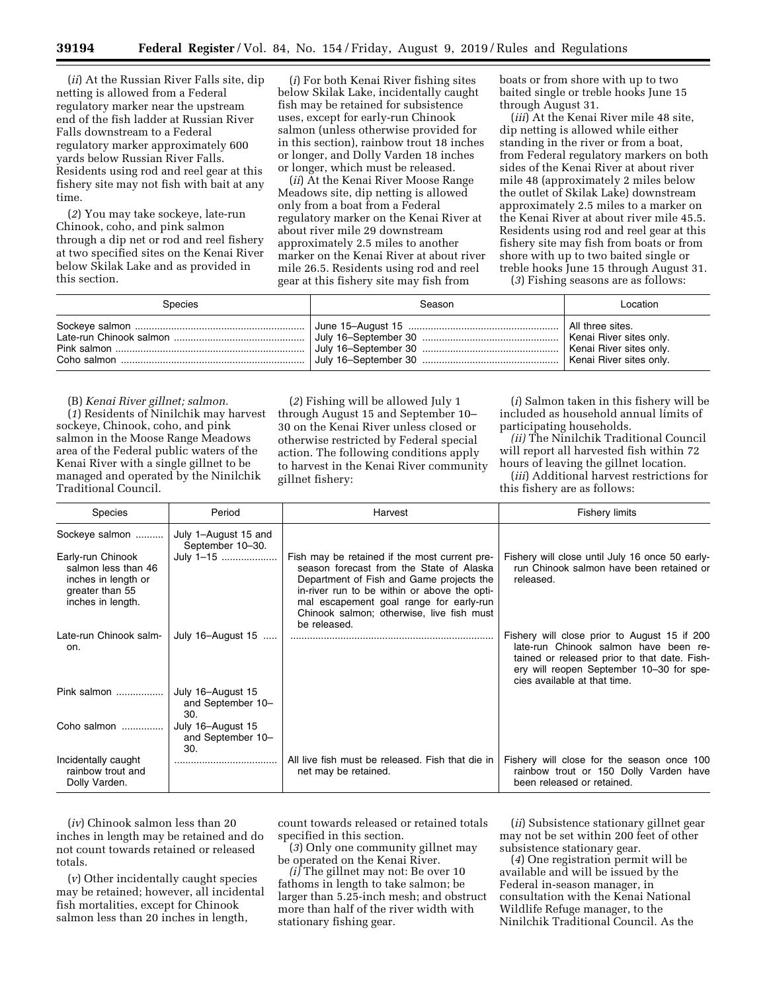(*ii*) At the Russian River Falls site, dip netting is allowed from a Federal regulatory marker near the upstream end of the fish ladder at Russian River Falls downstream to a Federal regulatory marker approximately 600 yards below Russian River Falls. Residents using rod and reel gear at this fishery site may not fish with bait at any time.

(*2*) You may take sockeye, late-run Chinook, coho, and pink salmon through a dip net or rod and reel fishery at two specified sites on the Kenai River below Skilak Lake and as provided in this section.

(*i*) For both Kenai River fishing sites below Skilak Lake, incidentally caught fish may be retained for subsistence uses, except for early-run Chinook salmon (unless otherwise provided for in this section), rainbow trout 18 inches or longer, and Dolly Varden 18 inches or longer, which must be released.

(*ii*) At the Kenai River Moose Range Meadows site, dip netting is allowed only from a boat from a Federal regulatory marker on the Kenai River at about river mile 29 downstream approximately 2.5 miles to another marker on the Kenai River at about river mile 26.5. Residents using rod and reel gear at this fishery site may fish from

boats or from shore with up to two baited single or treble hooks June 15 through August 31.

(*iii*) At the Kenai River mile 48 site, dip netting is allowed while either standing in the river or from a boat, from Federal regulatory markers on both sides of the Kenai River at about river mile 48 (approximately 2 miles below the outlet of Skilak Lake) downstream approximately 2.5 miles to a marker on the Kenai River at about river mile 45.5. Residents using rod and reel gear at this fishery site may fish from boats or from shore with up to two baited single or treble hooks June 15 through August 31.

(*3*) Fishing seasons are as follows:

| Species | Season | Location |
|---------|--------|----------|
|         |        |          |

(B) *Kenai River gillnet; salmon.* 

(*1*) Residents of Ninilchik may harvest sockeye, Chinook, coho, and pink salmon in the Moose Range Meadows area of the Federal public waters of the Kenai River with a single gillnet to be managed and operated by the Ninilchik Traditional Council.

(*2*) Fishing will be allowed July 1 through August 15 and September 10– 30 on the Kenai River unless closed or otherwise restricted by Federal special action. The following conditions apply to harvest in the Kenai River community gillnet fishery:

(*i*) Salmon taken in this fishery will be included as household annual limits of participating households.

*(ii)* The Ninilchik Traditional Council will report all harvested fish within 72 hours of leaving the gillnet location.

(*iii*) Additional harvest restrictions for this fishery are as follows:

| Species                                                                                                 | Period                                        | Harvest                                                                                                                                                                                                                                                                                       | <b>Fishery limits</b>                                                                                                                                                                                             |
|---------------------------------------------------------------------------------------------------------|-----------------------------------------------|-----------------------------------------------------------------------------------------------------------------------------------------------------------------------------------------------------------------------------------------------------------------------------------------------|-------------------------------------------------------------------------------------------------------------------------------------------------------------------------------------------------------------------|
| Sockeye salmon                                                                                          | July 1-August 15 and<br>September 10-30.      |                                                                                                                                                                                                                                                                                               |                                                                                                                                                                                                                   |
| Early-run Chinook<br>salmon less than 46<br>inches in length or<br>greater than 55<br>inches in length. | July 1-15                                     | Fish may be retained if the most current pre-<br>season forecast from the State of Alaska<br>Department of Fish and Game projects the<br>in-river run to be within or above the opti-<br>mal escapement goal range for early-run<br>Chinook salmon; otherwise, live fish must<br>be released. | Fishery will close until July 16 once 50 early-<br>run Chinook salmon have been retained or<br>released.                                                                                                          |
| Late-run Chinook salm-<br>on.                                                                           | July 16-August 15                             |                                                                                                                                                                                                                                                                                               | Fishery will close prior to August 15 if 200<br>late-run Chinook salmon have been re-<br>tained or released prior to that date. Fish-<br>ery will reopen September 10-30 for spe-<br>cies available at that time. |
| Pink salmon                                                                                             | July 16-August 15<br>and September 10-<br>30. |                                                                                                                                                                                                                                                                                               |                                                                                                                                                                                                                   |
| Coho salmon                                                                                             | July 16-August 15<br>and September 10-<br>30. |                                                                                                                                                                                                                                                                                               |                                                                                                                                                                                                                   |
| Incidentally caught<br>rainbow trout and<br>Dolly Varden.                                               |                                               | All live fish must be released. Fish that die in<br>net may be retained.                                                                                                                                                                                                                      | Fishery will close for the season once 100<br>rainbow trout or 150 Dolly Varden have<br>been released or retained.                                                                                                |

(*iv*) Chinook salmon less than 20 inches in length may be retained and do not count towards retained or released totals.

(*v*) Other incidentally caught species may be retained; however, all incidental fish mortalities, except for Chinook salmon less than 20 inches in length,

count towards released or retained totals specified in this section.

(*3*) Only one community gillnet may be operated on the Kenai River.

*(i)* The gillnet may not: Be over 10 fathoms in length to take salmon; be larger than 5.25-inch mesh; and obstruct more than half of the river width with stationary fishing gear.

(*ii*) Subsistence stationary gillnet gear may not be set within 200 feet of other subsistence stationary gear.

(*4*) One registration permit will be available and will be issued by the Federal in-season manager, in consultation with the Kenai National Wildlife Refuge manager, to the Ninilchik Traditional Council. As the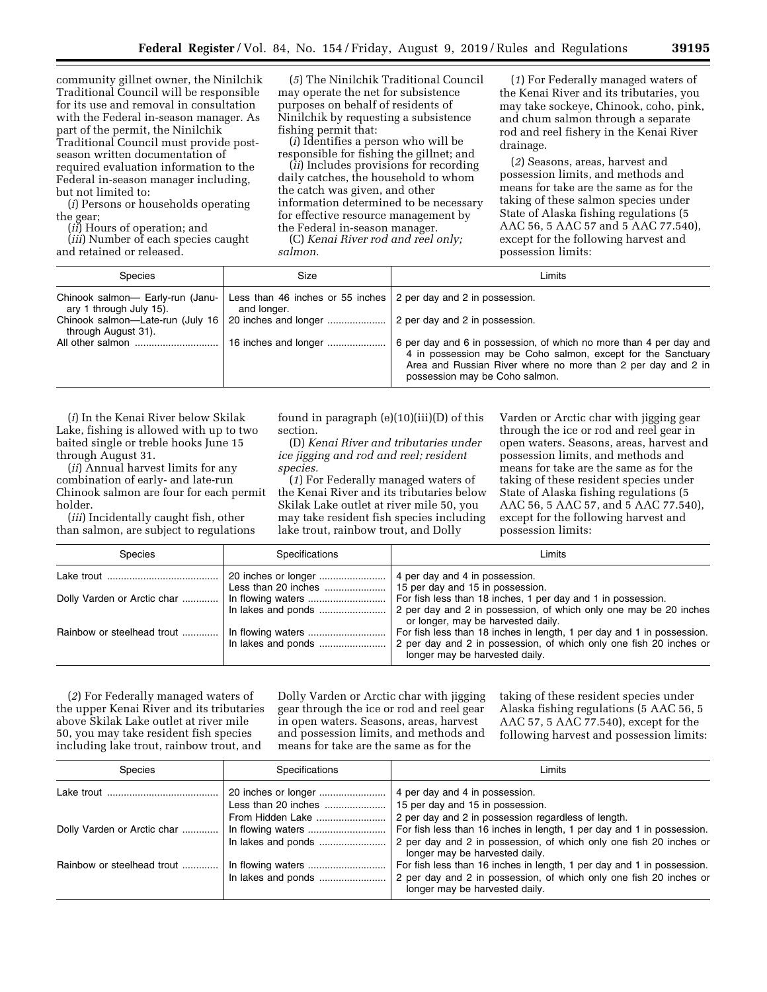community gillnet owner, the Ninilchik Traditional Council will be responsible for its use and removal in consultation with the Federal in-season manager. As part of the permit, the Ninilchik Traditional Council must provide postseason written documentation of required evaluation information to the Federal in-season manager including, but not limited to:

(*i*) Persons or households operating the gear;

(*ii*) Hours of operation; and

(*iii*) Number of each species caught and retained or released.

(*5*) The Ninilchik Traditional Council may operate the net for subsistence purposes on behalf of residents of Ninilchik by requesting a subsistence fishing permit that:

(*i*) Identifies a person who will be responsible for fishing the gillnet; and

(*ii*) Includes provisions for recording daily catches, the household to whom the catch was given, and other information determined to be necessary for effective resource management by the Federal in-season manager.

(C) *Kenai River rod and reel only; salmon.* 

(*1*) For Federally managed waters of the Kenai River and its tributaries, you may take sockeye, Chinook, coho, pink, and chum salmon through a separate rod and reel fishery in the Kenai River drainage.

(*2*) Seasons, areas, harvest and possession limits, and methods and means for take are the same as for the taking of these salmon species under State of Alaska fishing regulations (5 AAC 56, 5 AAC 57 and 5 AAC 77.540), except for the following harvest and possession limits:

| <b>Species</b>                                              | Size                                                                           | Limits                                                                                                                                                                                                                               |
|-------------------------------------------------------------|--------------------------------------------------------------------------------|--------------------------------------------------------------------------------------------------------------------------------------------------------------------------------------------------------------------------------------|
| Chinook salmon- Early-run (Janu-<br>ary 1 through July 15). | Less than 46 inches or 55 inches 2 per day and 2 in possession.<br>and longer. |                                                                                                                                                                                                                                      |
| Chinook salmon-Late-run (July 16<br>through August 31).     | 20 inches and longer                                                           | 2 per day and 2 in possession.                                                                                                                                                                                                       |
|                                                             | 16 inches and longer                                                           | 6 per day and 6 in possession, of which no more than 4 per day and<br>4 in possession may be Coho salmon, except for the Sanctuary<br>Area and Russian River where no more than 2 per day and 2 in<br>possession may be Coho salmon. |

(*i*) In the Kenai River below Skilak Lake, fishing is allowed with up to two baited single or treble hooks June 15 through August 31.

(*ii*) Annual harvest limits for any combination of early- and late-run Chinook salmon are four for each permit holder.

(*iii*) Incidentally caught fish, other than salmon, are subject to regulations found in paragraph (e)(10)(iii)(D) of this section.

(D) *Kenai River and tributaries under ice jigging and rod and reel; resident species.* 

(*1*) For Federally managed waters of the Kenai River and its tributaries below Skilak Lake outlet at river mile 50, you may take resident fish species including lake trout, rainbow trout, and Dolly

Varden or Arctic char with jigging gear through the ice or rod and reel gear in open waters. Seasons, areas, harvest and possession limits, and methods and means for take are the same as for the taking of these resident species under State of Alaska fishing regulations (5 AAC 56, 5 AAC 57, and 5 AAC 77.540), except for the following harvest and possession limits:

| <b>Species</b>              | Specifications | Limits                                                                                                                                                                         |
|-----------------------------|----------------|--------------------------------------------------------------------------------------------------------------------------------------------------------------------------------|
|                             |                | 4 per day and 4 in possession.<br>15 per day and 15 in possession.                                                                                                             |
| Dolly Varden or Arctic char |                | For fish less than 18 inches, 1 per day and 1 in possession.<br>2 per day and 2 in possession, of which only one may be 20 inches<br>or longer, may be harvested daily.        |
| Rainbow or steelhead trout  |                | For fish less than 18 inches in length, 1 per day and 1 in possession.<br>2 per day and 2 in possession, of which only one fish 20 inches or<br>longer may be harvested daily. |

(*2*) For Federally managed waters of the upper Kenai River and its tributaries above Skilak Lake outlet at river mile 50, you may take resident fish species including lake trout, rainbow trout, and

Dolly Varden or Arctic char with jigging gear through the ice or rod and reel gear in open waters. Seasons, areas, harvest and possession limits, and methods and means for take are the same as for the

taking of these resident species under Alaska fishing regulations (5 AAC 56, 5 AAC 57, 5 AAC 77.540), except for the following harvest and possession limits:

| <b>Species</b>              | Specifications      | Limits                                                                                                                                                                         |
|-----------------------------|---------------------|--------------------------------------------------------------------------------------------------------------------------------------------------------------------------------|
|                             | Less than 20 inches | 4 per day and 4 in possession.<br>15 per day and 15 in possession.                                                                                                             |
| Dolly Varden or Arctic char | From Hidden Lake    | 2 per day and 2 in possession regardless of length.<br>For fish less than 16 inches in length, 1 per day and 1 in possession.                                                  |
|                             |                     | 2 per day and 2 in possession, of which only one fish 20 inches or<br>longer may be harvested daily.                                                                           |
| Rainbow or steelhead trout  |                     | For fish less than 16 inches in length, 1 per day and 1 in possession.<br>2 per day and 2 in possession, of which only one fish 20 inches or<br>longer may be harvested daily. |